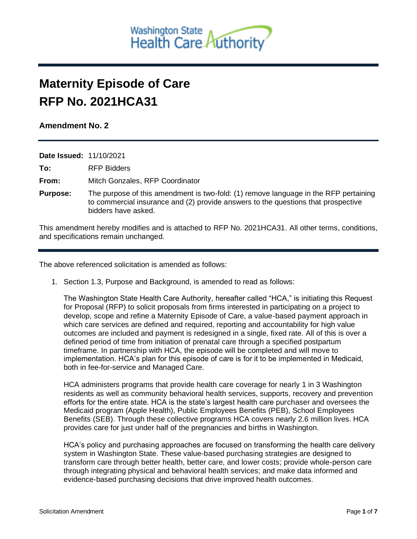

## **Maternity Episode of Care RFP No. 2021HCA31**

## **Amendment No. 2**

| <b>Date Issued: 11/10/2021</b> |                                                                                                                                                                                                  |
|--------------------------------|--------------------------------------------------------------------------------------------------------------------------------------------------------------------------------------------------|
| To:                            | <b>RFP Bidders</b>                                                                                                                                                                               |
| From:                          | Mitch Gonzales, RFP Coordinator                                                                                                                                                                  |
| <b>Purpose:</b>                | The purpose of this amendment is two-fold: (1) remove language in the RFP pertaining<br>to commercial insurance and (2) provide answers to the questions that prospective<br>bidders have asked. |

This amendment hereby modifies and is attached to RFP No. 2021HCA31. All other terms, conditions, and specifications remain unchanged.

The above referenced solicitation is amended as follows:

1. Section 1.3, Purpose and Background, is amended to read as follows:

The Washington State Health Care Authority, hereafter called "HCA," is initiating this Request for Proposal (RFP) to solicit proposals from firms interested in participating on a project to develop, scope and refine a Maternity Episode of Care, a value-based payment approach in which care services are defined and required, reporting and accountability for high value outcomes are included and payment is redesigned in a single, fixed rate. All of this is over a defined period of time from initiation of prenatal care through a specified postpartum timeframe. In partnership with HCA, the episode will be completed and will move to implementation. HCA's plan for this episode of care is for it to be implemented in Medicaid, both in fee-for-service and Managed Care.

HCA administers programs that provide health care coverage for nearly 1 in 3 Washington residents as well as community behavioral health services, supports, recovery and prevention efforts for the entire state. HCA is the state's largest health care purchaser and oversees the Medicaid program (Apple Health), Public Employees Benefits (PEB), School Employees Benefits (SEB). Through these collective programs HCA covers nearly 2.6 million lives. HCA provides care for just under half of the pregnancies and births in Washington.

HCA's policy and purchasing approaches are focused on transforming the health care delivery system in Washington State. These value-based purchasing strategies are designed to transform care through better health, better care, and lower costs; provide whole-person care through integrating physical and behavioral health services; and make data informed and evidence-based purchasing decisions that drive improved health outcomes.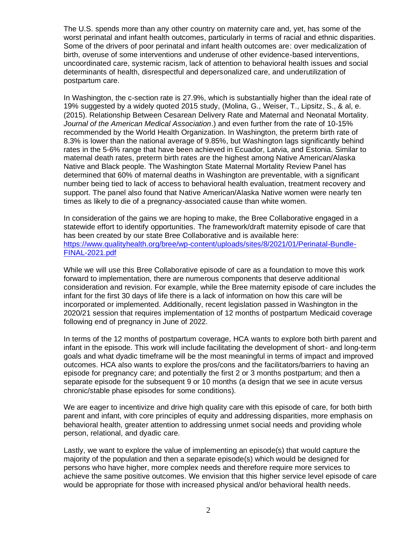The U.S. spends more than any other country on maternity care and, yet, has some of the worst perinatal and infant health outcomes, particularly in terms of racial and ethnic disparities. Some of the drivers of poor perinatal and infant health outcomes are: over medicalization of birth, overuse of some interventions and underuse of other evidence-based interventions, uncoordinated care, systemic racism, lack of attention to behavioral health issues and social determinants of health, disrespectful and depersonalized care, and underutilization of postpartum care.

In Washington, the c-section rate is 27.9%, which is substantially higher than the ideal rate of 19% suggested by a widely quoted 2015 study, (Molina, G., Weiser, T., Lipsitz, S., & al, e. (2015). Relationship Between Cesarean Delivery Rate and Maternal and Neonatal Mortality. *Journal of the American Medical Association*.) and even further from the rate of 10-15% recommended by the World Health Organization. In Washington, the preterm birth rate of 8.3% is lower than the national average of 9.85%, but Washington lags significantly behind rates in the 5-6% range that have been achieved in Ecuador, Latvia, and Estonia. Similar to maternal death rates, preterm birth rates are the highest among Native American/Alaska Native and Black people. The Washington State Maternal Mortality Review Panel has determined that 60% of maternal deaths in Washington are preventable, with a significant number being tied to lack of access to behavioral health evaluation, treatment recovery and support. The panel also found that Native American/Alaska Native women were nearly ten times as likely to die of a pregnancy-associated cause than white women.

In consideration of the gains we are hoping to make, the Bree Collaborative engaged in a statewide effort to identify opportunities. The framework/draft maternity episode of care that has been created by our state Bree Collaborative and is available here: [https://www.qualityhealth.org/bree/wp-content/uploads/sites/8/2021/01/Perinatal-Bundle-](https://www.qualityhealth.org/bree/wp-content/uploads/sites/8/2021/01/Perinatal-Bundle-FINAL-2021.pdf)[FINAL-2021.pdf](https://www.qualityhealth.org/bree/wp-content/uploads/sites/8/2021/01/Perinatal-Bundle-FINAL-2021.pdf)

While we will use this Bree Collaborative episode of care as a foundation to move this work forward to implementation, there are numerous components that deserve additional consideration and revision. For example, while the Bree maternity episode of care includes the infant for the first 30 days of life there is a lack of information on how this care will be incorporated or implemented. Additionally, recent legislation passed in Washington in the 2020/21 session that requires implementation of 12 months of postpartum Medicaid coverage following end of pregnancy in June of 2022.

In terms of the 12 months of postpartum coverage, HCA wants to explore both birth parent and infant in the episode. This work will include facilitating the development of short- and long-term goals and what dyadic timeframe will be the most meaningful in terms of impact and improved outcomes. HCA also wants to explore the pros/cons and the facilitators/barriers to having an episode for pregnancy care; and potentially the first 2 or 3 months postpartum; and then a separate episode for the subsequent 9 or 10 months (a design that we see in acute versus chronic/stable phase episodes for some conditions).

We are eager to incentivize and drive high quality care with this episode of care, for both birth parent and infant, with core principles of equity and addressing disparities, more emphasis on behavioral health, greater attention to addressing unmet social needs and providing whole person, relational, and dyadic care.

Lastly, we want to explore the value of implementing an episode(s) that would capture the majority of the population and then a separate episode(s) which would be designed for persons who have higher, more complex needs and therefore require more services to achieve the same positive outcomes. We envision that this higher service level episode of care would be appropriate for those with increased physical and/or behavioral health needs.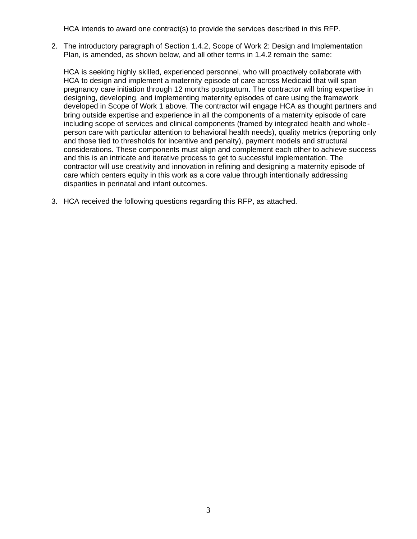HCA intends to award one contract(s) to provide the services described in this RFP.

2. The introductory paragraph of Section 1.4.2, Scope of Work 2: Design and Implementation Plan, is amended, as shown below, and all other terms in 1.4.2 remain the same:

HCA is seeking highly skilled, experienced personnel, who will proactively collaborate with HCA to design and implement a maternity episode of care across Medicaid that will span pregnancy care initiation through 12 months postpartum. The contractor will bring expertise in designing, developing, and implementing maternity episodes of care using the framework developed in Scope of Work 1 above. The contractor will engage HCA as thought partners and bring outside expertise and experience in all the components of a maternity episode of care including scope of services and clinical components (framed by integrated health and wholeperson care with particular attention to behavioral health needs), quality metrics (reporting only and those tied to thresholds for incentive and penalty), payment models and structural considerations. These components must align and complement each other to achieve success and this is an intricate and iterative process to get to successful implementation. The contractor will use creativity and innovation in refining and designing a maternity episode of care which centers equity in this work as a core value through intentionally addressing disparities in perinatal and infant outcomes.

3. HCA received the following questions regarding this RFP, as attached.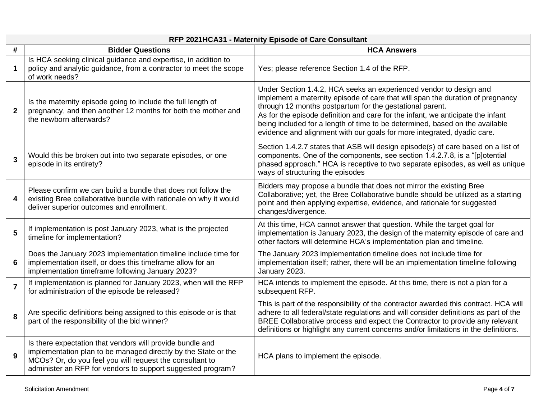|                | RFP 2021HCA31 - Maternity Episode of Care Consultant                                                                                                                                                                                                   |                                                                                                                                                                                                                                                                                                                                                                                                                                                                |  |  |  |
|----------------|--------------------------------------------------------------------------------------------------------------------------------------------------------------------------------------------------------------------------------------------------------|----------------------------------------------------------------------------------------------------------------------------------------------------------------------------------------------------------------------------------------------------------------------------------------------------------------------------------------------------------------------------------------------------------------------------------------------------------------|--|--|--|
| #              | <b>Bidder Questions</b>                                                                                                                                                                                                                                | <b>HCA Answers</b>                                                                                                                                                                                                                                                                                                                                                                                                                                             |  |  |  |
| $\mathbf 1$    | Is HCA seeking clinical guidance and expertise, in addition to<br>policy and analytic guidance, from a contractor to meet the scope<br>of work needs?                                                                                                  | Yes; please reference Section 1.4 of the RFP.                                                                                                                                                                                                                                                                                                                                                                                                                  |  |  |  |
| $\overline{2}$ | Is the maternity episode going to include the full length of<br>pregnancy, and then another 12 months for both the mother and<br>the newborn afterwards?                                                                                               | Under Section 1.4.2, HCA seeks an experienced vendor to design and<br>implement a maternity episode of care that will span the duration of pregnancy<br>through 12 months postpartum for the gestational parent.<br>As for the episode definition and care for the infant, we anticipate the infant<br>being included for a length of time to be determined, based on the available<br>evidence and alignment with our goals for more integrated, dyadic care. |  |  |  |
| $\mathbf{3}$   | Would this be broken out into two separate episodes, or one<br>episode in its entirety?                                                                                                                                                                | Section 1.4.2.7 states that ASB will design episode(s) of care based on a list of<br>components. One of the components, see section 1.4.2.7.8, is a "[p]otential<br>phased approach." HCA is receptive to two separate episodes, as well as unique<br>ways of structuring the episodes                                                                                                                                                                         |  |  |  |
| 4              | Please confirm we can build a bundle that does not follow the<br>existing Bree collaborative bundle with rationale on why it would<br>deliver superior outcomes and enrollment.                                                                        | Bidders may propose a bundle that does not mirror the existing Bree<br>Collaborative; yet, the Bree Collaborative bundle should be utilized as a starting<br>point and then applying expertise, evidence, and rationale for suggested<br>changes/divergence.                                                                                                                                                                                                   |  |  |  |
| 5              | If implementation is post January 2023, what is the projected<br>timeline for implementation?                                                                                                                                                          | At this time, HCA cannot answer that question. While the target goal for<br>implementation is January 2023, the design of the maternity episode of care and<br>other factors will determine HCA's implementation plan and timeline.                                                                                                                                                                                                                            |  |  |  |
| 6              | Does the January 2023 implementation timeline include time for<br>implementation itself, or does this timeframe allow for an<br>implementation timeframe following January 2023?                                                                       | The January 2023 implementation timeline does not include time for<br>implementation itself; rather, there will be an implementation timeline following<br>January 2023.                                                                                                                                                                                                                                                                                       |  |  |  |
| $\overline{7}$ | If implementation is planned for January 2023, when will the RFP<br>for administration of the episode be released?                                                                                                                                     | HCA intends to implement the episode. At this time, there is not a plan for a<br>subsequent RFP.                                                                                                                                                                                                                                                                                                                                                               |  |  |  |
| 8              | Are specific definitions being assigned to this episode or is that<br>part of the responsibility of the bid winner?                                                                                                                                    | This is part of the responsibility of the contractor awarded this contract. HCA will<br>adhere to all federal/state regulations and will consider definitions as part of the<br>BREE Collaborative process and expect the Contractor to provide any relevant<br>definitions or highlight any current concerns and/or limitations in the definitions.                                                                                                           |  |  |  |
| 9              | Is there expectation that vendors will provide bundle and<br>implementation plan to be managed directly by the State or the<br>MCOs? Or, do you feel you will request the consultant to<br>administer an RFP for vendors to support suggested program? | HCA plans to implement the episode.                                                                                                                                                                                                                                                                                                                                                                                                                            |  |  |  |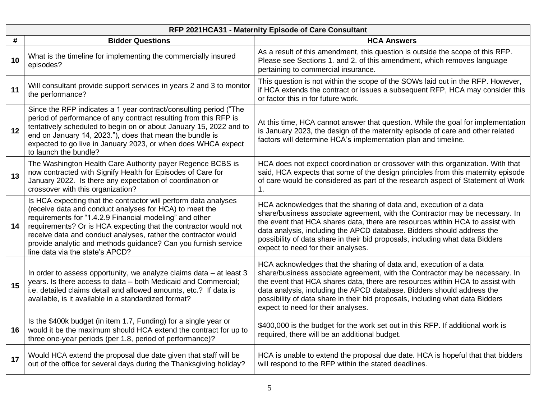| RFP 2021HCA31 - Maternity Episode of Care Consultant |                                                                                                                                                                                                                                                                                                                                                                                                                                 |                                                                                                                                                                                                                                                                                                                                                                                                                                      |  |  |
|------------------------------------------------------|---------------------------------------------------------------------------------------------------------------------------------------------------------------------------------------------------------------------------------------------------------------------------------------------------------------------------------------------------------------------------------------------------------------------------------|--------------------------------------------------------------------------------------------------------------------------------------------------------------------------------------------------------------------------------------------------------------------------------------------------------------------------------------------------------------------------------------------------------------------------------------|--|--|
| #                                                    | <b>Bidder Questions</b>                                                                                                                                                                                                                                                                                                                                                                                                         | <b>HCA Answers</b>                                                                                                                                                                                                                                                                                                                                                                                                                   |  |  |
| 10                                                   | What is the timeline for implementing the commercially insured<br>episodes?                                                                                                                                                                                                                                                                                                                                                     | As a result of this amendment, this question is outside the scope of this RFP.<br>Please see Sections 1. and 2. of this amendment, which removes language<br>pertaining to commercial insurance.                                                                                                                                                                                                                                     |  |  |
| 11                                                   | Will consultant provide support services in years 2 and 3 to monitor<br>the performance?                                                                                                                                                                                                                                                                                                                                        | This question is not within the scope of the SOWs laid out in the RFP. However,<br>if HCA extends the contract or issues a subsequent RFP, HCA may consider this<br>or factor this in for future work.                                                                                                                                                                                                                               |  |  |
| 12                                                   | Since the RFP indicates a 1 year contract/consulting period ("The<br>period of performance of any contract resulting from this RFP is<br>tentatively scheduled to begin on or about January 15, 2022 and to<br>end on January 14, 2023."), does that mean the bundle is<br>expected to go live in January 2023, or when does WHCA expect<br>to launch the bundle?                                                               | At this time, HCA cannot answer that question. While the goal for implementation<br>is January 2023, the design of the maternity episode of care and other related<br>factors will determine HCA's implementation plan and timeline.                                                                                                                                                                                                 |  |  |
| 13                                                   | The Washington Health Care Authority payer Regence BCBS is<br>now contracted with Signify Health for Episodes of Care for<br>January 2022. Is there any expectation of coordination or<br>crossover with this organization?                                                                                                                                                                                                     | HCA does not expect coordination or crossover with this organization. With that<br>said, HCA expects that some of the design principles from this maternity episode<br>of care would be considered as part of the research aspect of Statement of Work<br>$1_{\cdot}$                                                                                                                                                                |  |  |
| 14                                                   | Is HCA expecting that the contractor will perform data analyses<br>(receive data and conduct analyses for HCA) to meet the<br>requirements for "1.4.2.9 Financial modeling" and other<br>requirements? Or is HCA expecting that the contractor would not<br>receive data and conduct analyses, rather the contractor would<br>provide analytic and methods guidance? Can you furnish service<br>line data via the state's APCD? | HCA acknowledges that the sharing of data and, execution of a data<br>share/business associate agreement, with the Contractor may be necessary. In<br>the event that HCA shares data, there are resources within HCA to assist with<br>data analysis, including the APCD database. Bidders should address the<br>possibility of data share in their bid proposals, including what data Bidders<br>expect to need for their analyses. |  |  |
| 15                                                   | In order to assess opportunity, we analyze claims data – at least 3<br>years. Is there access to data - both Medicaid and Commercial;<br>i.e. detailed claims detail and allowed amounts, etc.? If data is<br>available, is it available in a standardized format?                                                                                                                                                              | HCA acknowledges that the sharing of data and, execution of a data<br>share/business associate agreement, with the Contractor may be necessary. In<br>the event that HCA shares data, there are resources within HCA to assist with<br>data analysis, including the APCD database. Bidders should address the<br>possibility of data share in their bid proposals, including what data Bidders<br>expect to need for their analyses. |  |  |
| 16                                                   | Is the \$400k budget (in item 1.7, Funding) for a single year or<br>would it be the maximum should HCA extend the contract for up to<br>three one-year periods (per 1.8, period of performance)?                                                                                                                                                                                                                                | \$400,000 is the budget for the work set out in this RFP. If additional work is<br>required, there will be an additional budget.                                                                                                                                                                                                                                                                                                     |  |  |
| 17                                                   | Would HCA extend the proposal due date given that staff will be<br>out of the office for several days during the Thanksgiving holiday?                                                                                                                                                                                                                                                                                          | HCA is unable to extend the proposal due date. HCA is hopeful that that bidders<br>will respond to the RFP within the stated deadlines.                                                                                                                                                                                                                                                                                              |  |  |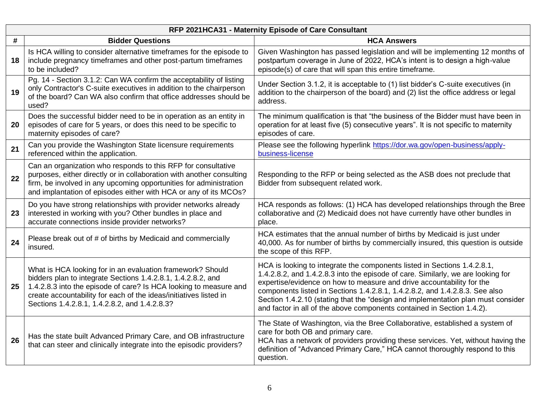|    | RFP 2021HCA31 - Maternity Episode of Care Consultant                                                                                                                                                                                                                                                                  |                                                                                                                                                                                                                                                                                                                                                                                                                                                                                    |  |
|----|-----------------------------------------------------------------------------------------------------------------------------------------------------------------------------------------------------------------------------------------------------------------------------------------------------------------------|------------------------------------------------------------------------------------------------------------------------------------------------------------------------------------------------------------------------------------------------------------------------------------------------------------------------------------------------------------------------------------------------------------------------------------------------------------------------------------|--|
| #  | <b>Bidder Questions</b>                                                                                                                                                                                                                                                                                               | <b>HCA Answers</b>                                                                                                                                                                                                                                                                                                                                                                                                                                                                 |  |
| 18 | Is HCA willing to consider alternative timeframes for the episode to<br>include pregnancy timeframes and other post-partum timeframes<br>to be included?                                                                                                                                                              | Given Washington has passed legislation and will be implementing 12 months of<br>postpartum coverage in June of 2022, HCA's intent is to design a high-value<br>episode(s) of care that will span this entire timeframe.                                                                                                                                                                                                                                                           |  |
| 19 | Pg. 14 - Section 3.1.2: Can WA confirm the acceptability of listing<br>only Contractor's C-suite executives in addition to the chairperson<br>of the board? Can WA also confirm that office addresses should be<br>used?                                                                                              | Under Section 3.1.2, it is acceptable to (1) list bidder's C-suite executives (in<br>addition to the chairperson of the board) and (2) list the office address or legal<br>address.                                                                                                                                                                                                                                                                                                |  |
| 20 | Does the successful bidder need to be in operation as an entity in<br>episodes of care for 5 years, or does this need to be specific to<br>maternity episodes of care?                                                                                                                                                | The minimum qualification is that "the business of the Bidder must have been in<br>operation for at least five (5) consecutive years". It is not specific to maternity<br>episodes of care.                                                                                                                                                                                                                                                                                        |  |
| 21 | Can you provide the Washington State licensure requirements<br>referenced within the application.                                                                                                                                                                                                                     | Please see the following hyperlink https://dor.wa.gov/open-business/apply-<br>business-license                                                                                                                                                                                                                                                                                                                                                                                     |  |
| 22 | Can an organization who responds to this RFP for consultative<br>purposes, either directly or in collaboration with another consulting<br>firm, be involved in any upcoming opportunities for administration<br>and implantation of episodes either with HCA or any of its MCOs?                                      | Responding to the RFP or being selected as the ASB does not preclude that<br>Bidder from subsequent related work.                                                                                                                                                                                                                                                                                                                                                                  |  |
| 23 | Do you have strong relationships with provider networks already<br>interested in working with you? Other bundles in place and<br>accurate connections inside provider networks?                                                                                                                                       | HCA responds as follows: (1) HCA has developed relationships through the Bree<br>collaborative and (2) Medicaid does not have currently have other bundles in<br>place.                                                                                                                                                                                                                                                                                                            |  |
| 24 | Please break out of # of births by Medicaid and commercially<br>insured.                                                                                                                                                                                                                                              | HCA estimates that the annual number of births by Medicaid is just under<br>40,000. As for number of births by commercially insured, this question is outside<br>the scope of this RFP.                                                                                                                                                                                                                                                                                            |  |
| 25 | What is HCA looking for in an evaluation framework? Should<br>bidders plan to integrate Sections 1.4.2.8.1, 1.4.2.8.2, and<br>1.4.2.8.3 into the episode of care? Is HCA looking to measure and<br>create accountability for each of the ideas/initiatives listed in<br>Sections 1.4.2.8.1, 1.4.2.8.2, and 1.4.2.8.3? | HCA is looking to integrate the components listed in Sections 1.4.2.8.1,<br>1.4.2.8.2, and 1.4.2.8.3 into the episode of care. Similarly, we are looking for<br>expertise/evidence on how to measure and drive accountability for the<br>components listed in Sections 1.4.2.8.1, 1.4.2.8.2, and 1.4.2.8.3. See also<br>Section 1.4.2.10 (stating that the "design and implementation plan must consider<br>and factor in all of the above components contained in Section 1.4.2). |  |
| 26 | Has the state built Advanced Primary Care, and OB infrastructure<br>that can steer and clinically integrate into the episodic providers?                                                                                                                                                                              | The State of Washington, via the Bree Collaborative, established a system of<br>care for both OB and primary care.<br>HCA has a network of providers providing these services. Yet, without having the<br>definition of "Advanced Primary Care," HCA cannot thoroughly respond to this<br>question.                                                                                                                                                                                |  |